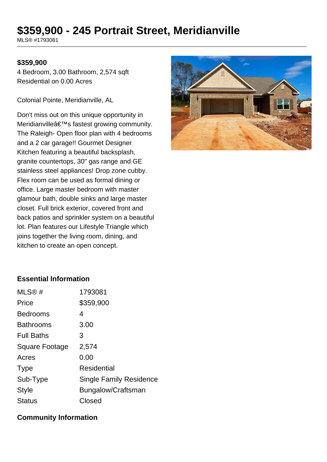# **\$359,900 - 245 Portrait Street, Meridianville**

MLS® #1793081

#### **\$359,900**

4 Bedroom, 3.00 Bathroom, 2,574 sqft Residential on 0.00 Acres

Colonial Pointe, Meridianville, AL

Don't miss out on this unique opportunity in Meridianville's fastest growing community. The Raleigh- Open floor plan with 4 bedrooms and a 2 car garage!! Gourmet Designer Kitchen featuring a beautiful backsplash, granite countertops, 30" gas range and GE stainless steel appliances! Drop zone cubby. Flex room can be used as formal dining or office. Large master bedroom with master glamour bath, double sinks and large master closet. Full brick exterior, covered front and back patios and sprinkler system on a beautiful lot. Plan features our Lifestyle Triangle which joins together the living room, dining, and kitchen to create an open concept.



### **Essential Information**

| 1793081                 |
|-------------------------|
| \$359,900               |
| 4                       |
| 3.00                    |
| 3                       |
| 2,574                   |
| 0.00                    |
| <b>Residential</b>      |
| Single Family Residence |
| Bungalow/Craftsman      |
| Closed                  |
|                         |

### **Community Information**